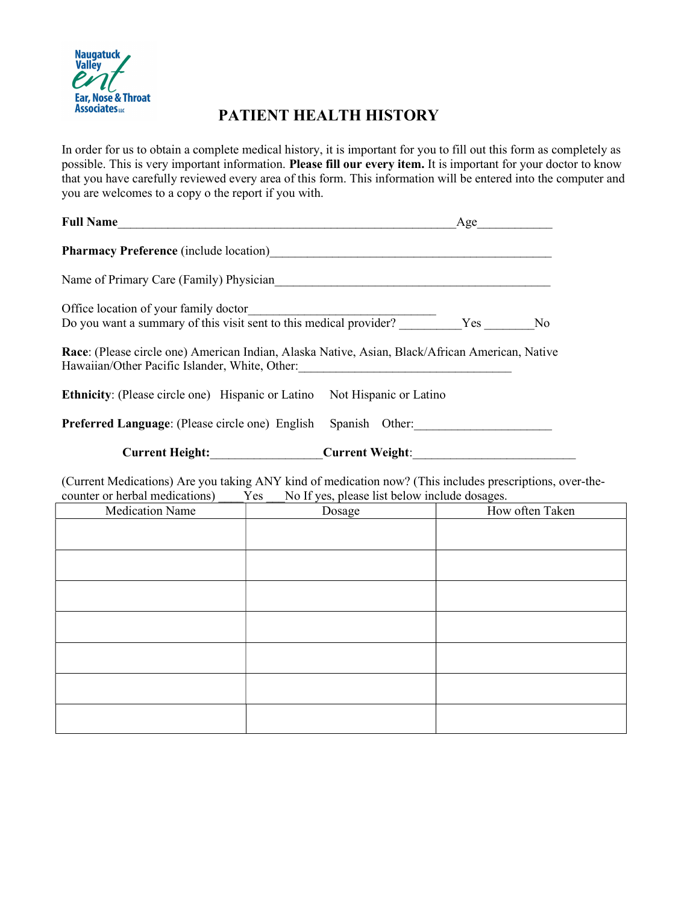

## PATIENT HEALTH HISTORY

In order for us to obtain a complete medical history, it is important for you to fill out this form as completely as possible. This is very important information. Please fill our every item. It is important for your doctor to know that you have carefully reviewed every area of this form. This information will be entered into the computer and you are welcomes to a copy o the report if you with.

| Pharmacy Preference (include location)<br><u>Letter and the contract of the contract of the contract of the contract of the contract of the contract of the contract of the contract of the contract of the contract of the contra</u><br>Office location of your family doctor<br>Race: (Please circle one) American Indian, Alaska Native, Asian, Black/African American, Native<br>Hawaiian/Other Pacific Islander, White, Other: 1997 March 2014 1997 March 2014 1997 March 2014 1997 March 2014<br>Ethnicity: (Please circle one) Hispanic or Latino Not Hispanic or Latino<br>Preferred Language: (Please circle one) English Spanish Other: _________________<br>Current Height:_________________Current Weight:_________________________________<br>(Current Medications) Are you taking ANY kind of medication now? (This includes prescriptions, over-the-<br>No If yes, please list below include dosages.<br>counter or herbal medications) Yes<br>How often Taken<br><b>Medication Name</b><br>Dosage | Full Name | $Age \qquad \qquad$ |  |
|--------------------------------------------------------------------------------------------------------------------------------------------------------------------------------------------------------------------------------------------------------------------------------------------------------------------------------------------------------------------------------------------------------------------------------------------------------------------------------------------------------------------------------------------------------------------------------------------------------------------------------------------------------------------------------------------------------------------------------------------------------------------------------------------------------------------------------------------------------------------------------------------------------------------------------------------------------------------------------------------------------------------|-----------|---------------------|--|
|                                                                                                                                                                                                                                                                                                                                                                                                                                                                                                                                                                                                                                                                                                                                                                                                                                                                                                                                                                                                                    |           |                     |  |
|                                                                                                                                                                                                                                                                                                                                                                                                                                                                                                                                                                                                                                                                                                                                                                                                                                                                                                                                                                                                                    |           |                     |  |
|                                                                                                                                                                                                                                                                                                                                                                                                                                                                                                                                                                                                                                                                                                                                                                                                                                                                                                                                                                                                                    |           |                     |  |
|                                                                                                                                                                                                                                                                                                                                                                                                                                                                                                                                                                                                                                                                                                                                                                                                                                                                                                                                                                                                                    |           |                     |  |
|                                                                                                                                                                                                                                                                                                                                                                                                                                                                                                                                                                                                                                                                                                                                                                                                                                                                                                                                                                                                                    |           |                     |  |
|                                                                                                                                                                                                                                                                                                                                                                                                                                                                                                                                                                                                                                                                                                                                                                                                                                                                                                                                                                                                                    |           |                     |  |
|                                                                                                                                                                                                                                                                                                                                                                                                                                                                                                                                                                                                                                                                                                                                                                                                                                                                                                                                                                                                                    |           |                     |  |
|                                                                                                                                                                                                                                                                                                                                                                                                                                                                                                                                                                                                                                                                                                                                                                                                                                                                                                                                                                                                                    |           |                     |  |
|                                                                                                                                                                                                                                                                                                                                                                                                                                                                                                                                                                                                                                                                                                                                                                                                                                                                                                                                                                                                                    |           |                     |  |
|                                                                                                                                                                                                                                                                                                                                                                                                                                                                                                                                                                                                                                                                                                                                                                                                                                                                                                                                                                                                                    |           |                     |  |
|                                                                                                                                                                                                                                                                                                                                                                                                                                                                                                                                                                                                                                                                                                                                                                                                                                                                                                                                                                                                                    |           |                     |  |
|                                                                                                                                                                                                                                                                                                                                                                                                                                                                                                                                                                                                                                                                                                                                                                                                                                                                                                                                                                                                                    |           |                     |  |
|                                                                                                                                                                                                                                                                                                                                                                                                                                                                                                                                                                                                                                                                                                                                                                                                                                                                                                                                                                                                                    |           |                     |  |
|                                                                                                                                                                                                                                                                                                                                                                                                                                                                                                                                                                                                                                                                                                                                                                                                                                                                                                                                                                                                                    |           |                     |  |
|                                                                                                                                                                                                                                                                                                                                                                                                                                                                                                                                                                                                                                                                                                                                                                                                                                                                                                                                                                                                                    |           |                     |  |